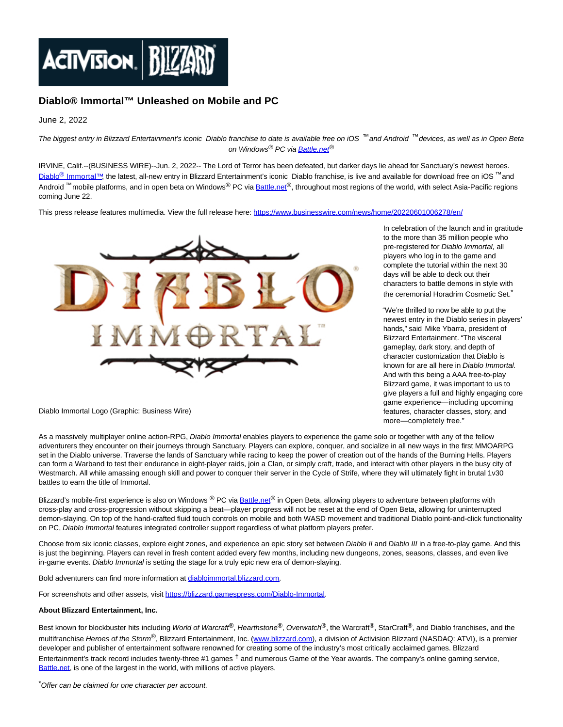

## **Diablo® Immortal™ Unleashed on Mobile and PC**

June 2, 2022

The biggest entry in Blizzard Entertainment's iconic Diablo franchise to date is available free on iOS ™and Android ™devices, as well as in Open Beta on Windows<sup>®</sup> PC vi[a Battle.net](http://battle.net/)<sup>®</sup>

IRVINE, Calif.--(BUSINESS WIRE)--Jun. 2, 2022-- The Lord of Terror has been defeated, but darker days lie ahead for Sanctuary's newest heroes. Diablo<sup>®</sup> [Immortal™,](https://cts.businesswire.com/ct/CT?id=smartlink&url=https%3A%2F%2Fwww.diabloimmortal.com&esheet=52737344&newsitemid=20220601006278&lan=en-US&anchor=Diablo%26%23174%3B+Immortal%26%238482%3B&index=1&md5=5040d4639e5505fa7f49fa6ac9e51651) the latest, all-new entry in Blizzard Entertainment's iconic Diablo franchise, is live and available for download free on iOS <sup>7"</sup> and Android <sup>™</sup> mobile platforms, and in open beta on Windows<sup>®</sup> PC vi[a Battle.net](http://battle.net/)®, throughout most regions of the world, with select Asia-Pacific regions coming June 22.

This press release features multimedia. View the full release here:<https://www.businesswire.com/news/home/20220601006278/en/>



In celebration of the launch and in gratitude to the more than 35 million people who pre-registered for Diablo Immortal, all players who log in to the game and complete the tutorial within the next 30 days will be able to deck out their characters to battle demons in style with the ceremonial Horadrim Cosmetic Set.

"We're thrilled to now be able to put the newest entry in the Diablo series in players' hands," said Mike Ybarra, president of Blizzard Entertainment. "The visceral gameplay, dark story, and depth of character customization that Diablo is known for are all here in Diablo Immortal. And with this being a AAA free-to-play Blizzard game, it was important to us to give players a full and highly engaging core game experience—including upcoming features, character classes, story, and more—completely free."

Diablo Immortal Logo (Graphic: Business Wire)

As a massively multiplayer online action-RPG, Diablo Immortal enables players to experience the game solo or together with any of the fellow adventurers they encounter on their journeys through Sanctuary. Players can explore, conquer, and socialize in all new ways in the first MMOARPG set in the Diablo universe. Traverse the lands of Sanctuary while racing to keep the power of creation out of the hands of the Burning Hells. Players can form a Warband to test their endurance in eight-player raids, join a Clan, or simply craft, trade, and interact with other players in the busy city of Westmarch. All while amassing enough skill and power to conquer their server in the Cycle of Strife, where they will ultimately fight in brutal 1v30 battles to earn the title of Immortal.

Blizzard's mobile-first experience is also on Windows ® PC via **Battle.net®** in Open Beta, allowing players to adventure between platforms with cross-play and cross-progression without skipping a beat—player progress will not be reset at the end of Open Beta, allowing for uninterrupted demon-slaying. On top of the hand-crafted fluid touch controls on mobile and both WASD movement and traditional Diablo point-and-click functionality on PC, Diablo Immortal features integrated controller support regardless of what platform players prefer.

Choose from six iconic classes, explore eight zones, and experience an epic story set between Diablo II and Diablo III in a free-to-play game. And this is just the beginning. Players can revel in fresh content added every few months, including new dungeons, zones, seasons, classes, and even live in-game events. Diablo Immortal is setting the stage for a truly epic new era of demon-slaying.

Bold adventurers can find more information at [diabloimmortal.blizzard.com.](https://cts.businesswire.com/ct/CT?id=smartlink&url=http%3A%2F%2Fdiabloimmortal.blizzard.com&esheet=52737344&newsitemid=20220601006278&lan=en-US&anchor=diabloimmortal.blizzard.com&index=2&md5=28ef38d7c4028c05118a17ac3bb25b32)

For screenshots and other assets, visit [https://blizzard.gamespress.com/Diablo-Immortal.](https://cts.businesswire.com/ct/CT?id=smartlink&url=https%3A%2F%2Fblizzard.gamespress.com%2FDiablo-Immortal&esheet=52737344&newsitemid=20220601006278&lan=en-US&anchor=https%3A%2F%2Fblizzard.gamespress.com%2FDiablo-Immortal&index=3&md5=0faa1cf3f334d6fa717b327a4b5842e7)

## **About Blizzard Entertainment, Inc.**

Best known for blockbuster hits including World of Warcraft®, Hearthstone®, Overwatch®, the Warcraft®, StarCraft®, and Diablo franchises, and the multifranchise Heroes of the Storm<sup>®</sup>, Blizzard Entertainment, Inc. [\(www.blizzard.com\),](https://cts.businesswire.com/ct/CT?id=smartlink&url=http%3A%2F%2Fwww.blizzard.com&esheet=52737344&newsitemid=20220601006278&lan=en-US&anchor=www.blizzard.com&index=4&md5=2c5f3370725b9e5a86e4e5fb72eec022) a division of Activision Blizzard (NASDAQ: ATVI), is a premier developer and publisher of entertainment software renowned for creating some of the industry's most critically acclaimed games. Blizzard Entertainment's track record includes twenty-three #1 games  $^{\dagger}$  and numerous Game of the Year awards. The company's online gaming service, [Battle.net,](http://battle.net/) is one of the largest in the world, with millions of active players.

\*Offer can be claimed for one character per account.